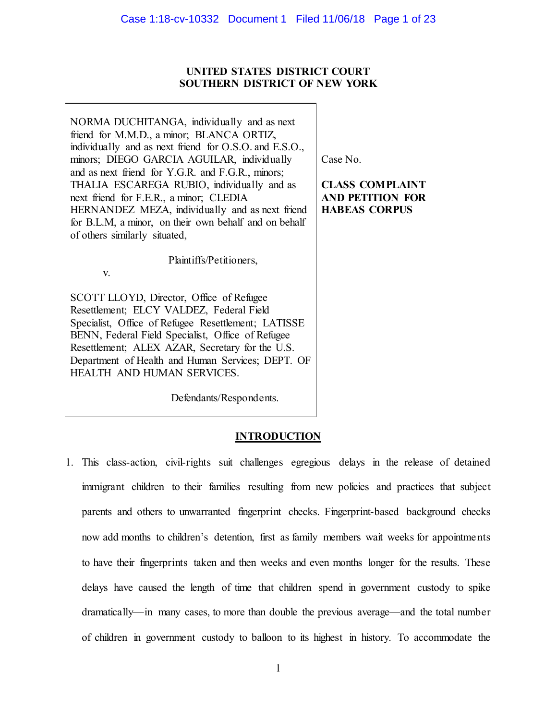# **UNITED STATES DISTRICT COURT SOUTHERN DISTRICT OF NEW YORK**

NORMA DUCHITANGA, individually and as next friend for M.M.D., a minor; BLANCA ORTIZ, individually and as next friend for O.S.O. and E.S.O., minors; DIEGO GARCIA AGUILAR, individually and as next friend for Y.G.R. and F.G.R., minors; THALIA ESCAREGA RUBIO, individually and as next friend for F.E.R., a minor; CLEDIA HERNANDEZ MEZA, individually and as next friend for B.L.M, a minor, on their own behalf and on behalf of others similarly situated,

Plaintiffs/Petitioners,

SCOTT LLOYD, Director, Office of Refugee Resettlement; ELCY VALDEZ, Federal Field Specialist, Office of Refugee Resettlement; LATISSE BENN, Federal Field Specialist, Office of Refugee Resettlement; ALEX AZAR, Secretary for the U.S. Department of Health and Human Services; DEPT. OF HEALTH AND HUMAN SERVICES.

v.

Defendants/Respondents.

# **INTRODUCTION**

1. This class-action, civil-rights suit challenges egregious delays in the release of detained immigrant children to their families resulting from new policies and practices that subject parents and others to unwarranted fingerprint checks. Fingerprint-based background checks now add months to children's detention, first as family members wait weeks for appointments to have their fingerprints taken and then weeks and even months longer for the results. These delays have caused the length of time that children spend in government custody to spike dramatically—in many cases, to more than double the previous average—and the total number of children in government custody to balloon to its highest in history. To accommodate the

Case No.

**CLASS COMPLAINT AND PETITION FOR HABEAS CORPUS**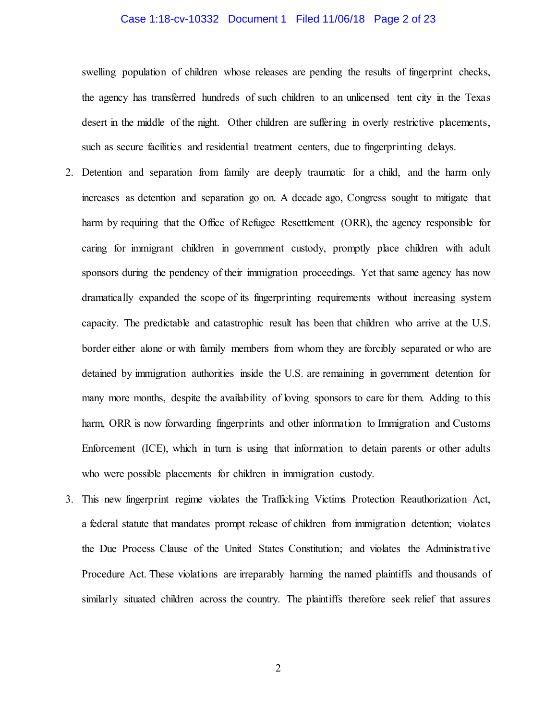### Case 1:18-cv-10332 Document 1 Filed 11/06/18 Page 2 of 23

swelling population of children whose releases are pending the results of fingerprint checks, the agency has transferred hundreds of such children to an unlicensed tent city in the Texas desert in the middle of the night. Other children are suffering in overly restrictive placements, such as secure facilities and residential treatment centers, due to fingerprinting delays.

- 2. Detention and separation from family are deeply traumatic for a child, and the harm only increases as detention and separation go on. A decade ago, Congress sought to mitigate that harm by requiring that the Office of Refugee Resettlement (ORR), the agency responsible for caring for immigrant children in government custody, promptly place children with adult sponsors during the pendency of their immigration proceedings. Yet that same agency has now dramatically expanded the scope of its fingerprinting requirements without increasing system capacity. The predictable and catastrophic result has been that children who arrive at the U.S. border either alone or with family members from whom they are forcibly separated or who are detained by immigration authorities inside the U.S. are remaining in government detention for many more months, despite the availability of loving sponsors to care for them. Adding to this harm, ORR is now forwarding fingerprints and other information to Immigration and Customs Enforcement (ICE), which in turn is using that information to detain parents or other adults who were possible placements for children in immigration custody.
- 3. This new fingerprint regime violates the Trafficking Victims Protection Reauthorization Act, a federal statute that mandates prompt release of children from immigration detention; violates the Due Process Clause of the United States Constitution; and violates the Administrative Procedure Act. These violations are irreparably harming the named plaintiffs and thousands of similarly situated children across the country. The plaintiffs therefore seek relief that assures

2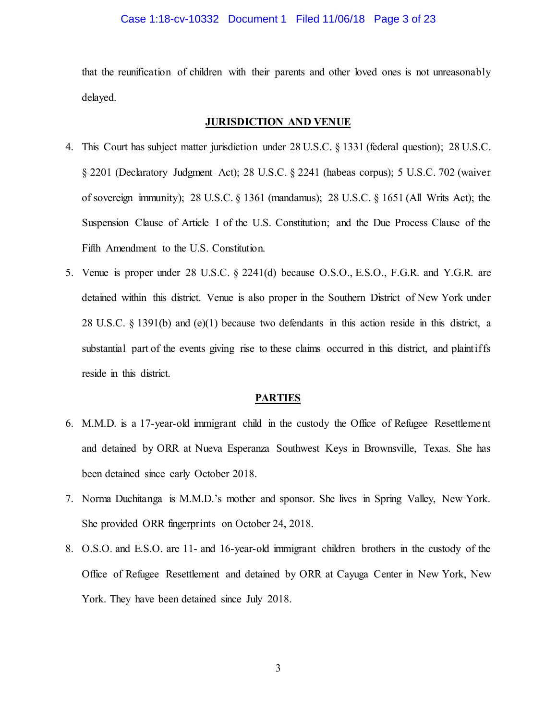#### Case 1:18-cv-10332 Document 1 Filed 11/06/18 Page 3 of 23

that the reunification of children with their parents and other loved ones is not unreasonably delayed.

### **JURISDICTION AND VENUE**

- 4. This Court has subject matter jurisdiction under 28 U.S.C. § 1331 (federal question); 28 U.S.C. § 2201 (Declaratory Judgment Act); 28 U.S.C. § 2241 (habeas corpus); 5 U.S.C. 702 (waiver of sovereign immunity); 28 U.S.C. § 1361 (mandamus); 28 U.S.C. § 1651 (All Writs Act); the Suspension Clause of Article I of the U.S. Constitution; and the Due Process Clause of the Fifth Amendment to the U.S. Constitution.
- 5. Venue is proper under 28 U.S.C. § 2241(d) because O.S.O., E.S.O., F.G.R. and Y.G.R. are detained within this district. Venue is also proper in the Southern District of New York under 28 U.S.C. § 1391(b) and (e)(1) because two defendants in this action reside in this district, a substantial part of the events giving rise to these claims occurred in this district, and plaintiffs reside in this district.

#### **PARTIES**

- 6. M.M.D. is a 17-year-old immigrant child in the custody the Office of Refugee Resettlement and detained by ORR at Nueva Esperanza Southwest Keys in Brownsville, Texas. She has been detained since early October 2018.
- 7. Norma Duchitanga is M.M.D.'s mother and sponsor. She lives in Spring Valley, New York. She provided ORR fingerprints on October 24, 2018.
- 8. O.S.O. and E.S.O. are 11- and 16-year-old immigrant children brothers in the custody of the Office of Refugee Resettlement and detained by ORR at Cayuga Center in New York, New York. They have been detained since July 2018.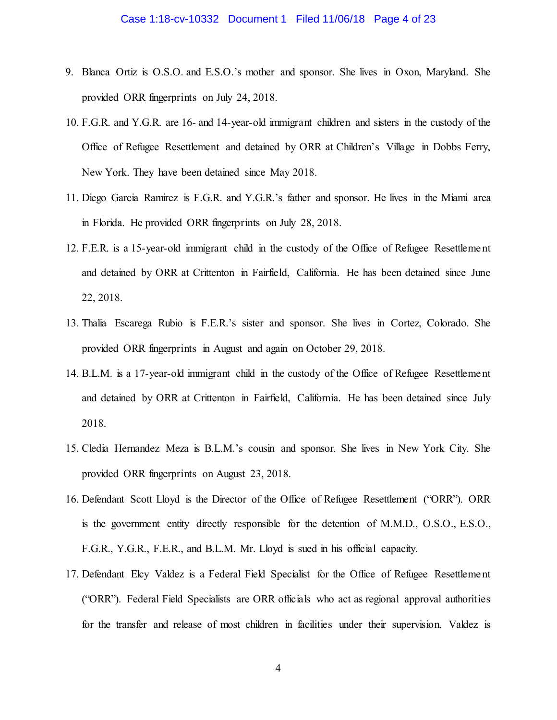- 9. Blanca Ortiz is O.S.O. and E.S.O.'s mother and sponsor. She lives in Oxon, Maryland. She provided ORR fingerprints on July 24, 2018.
- 10. F.G.R. and Y.G.R. are 16- and 14-year-old immigrant children and sisters in the custody of the Office of Refugee Resettlement and detained by ORR at Children's Village in Dobbs Ferry, New York. They have been detained since May 2018.
- 11. Diego Garcia Ramirez is F.G.R. and Y.G.R.'s father and sponsor. He lives in the Miami area in Florida. He provided ORR fingerprints on July 28, 2018.
- 12. F.E.R. is a 15-year-old immigrant child in the custody of the Office of Refugee Resettlement and detained by ORR at Crittenton in Fairfield, California. He has been detained since June 22, 2018.
- 13. Thalia Escarega Rubio is F.E.R.'s sister and sponsor. She lives in Cortez, Colorado. She provided ORR fingerprints in August and again on October 29, 2018.
- 14. B.L.M. is a 17-year-old immigrant child in the custody of the Office of Refugee Resettlement and detained by ORR at Crittenton in Fairfield, California. He has been detained since July 2018.
- 15. Cledia Hernandez Meza is B.L.M.'s cousin and sponsor. She lives in New York City. She provided ORR fingerprints on August 23, 2018.
- 16. Defendant Scott Lloyd is the Director of the Office of Refugee Resettlement ("ORR"). ORR is the government entity directly responsible for the detention of M.M.D., O.S.O., E.S.O., F.G.R., Y.G.R., F.E.R., and B.L.M. Mr. Lloyd is sued in his official capacity.
- 17. Defendant Elcy Valdez is a Federal Field Specialist for the Office of Refugee Resettlement ("ORR"). Federal Field Specialists are ORR officials who act as regional approval authorities for the transfer and release of most children in facilities under their supervision. Valdez is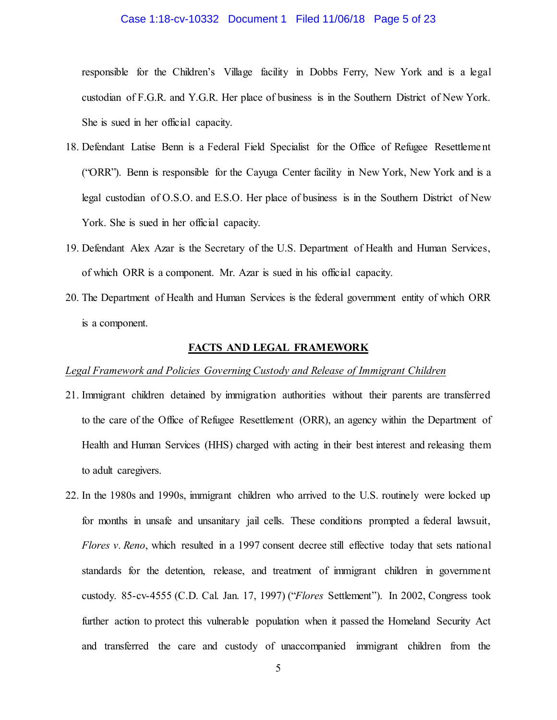### Case 1:18-cv-10332 Document 1 Filed 11/06/18 Page 5 of 23

responsible for the Children's Village facility in Dobbs Ferry, New York and is a legal custodian of F.G.R. and Y.G.R. Her place of business is in the Southern District of New York. She is sued in her official capacity.

- 18. Defendant Latise Benn is a Federal Field Specialist for the Office of Refugee Resettlement ("ORR"). Benn is responsible for the Cayuga Center facility in New York, New York and is a legal custodian of O.S.O. and E.S.O. Her place of business is in the Southern District of New York. She is sued in her official capacity.
- 19. Defendant Alex Azar is the Secretary of the U.S. Department of Health and Human Services, of which ORR is a component. Mr. Azar is sued in his official capacity.
- 20. The Department of Health and Human Services is the federal government entity of which ORR is a component.

## **FACTS AND LEGAL FRAMEWORK**

#### *Legal Framework and Policies Governing Custody and Release of Immigrant Children*

- 21. Immigrant children detained by immigration authorities without their parents are transferred to the care of the Office of Refugee Resettlement (ORR), an agency within the Department of Health and Human Services (HHS) charged with acting in their best interest and releasing them to adult caregivers.
- 22. In the 1980s and 1990s, immigrant children who arrived to the U.S. routinely were locked up for months in unsafe and unsanitary jail cells. These conditions prompted a federal lawsuit, *Flores v. Reno*, which resulted in a 1997 consent decree still effective today that sets national standards for the detention, release, and treatment of immigrant children in government custody. 85-cv-4555 (C.D. Cal. Jan. 17, 1997) ("*Flores* Settlement"). In 2002, Congress took further action to protect this vulnerable population when it passed the Homeland Security Act and transferred the care and custody of unaccompanied immigrant children from the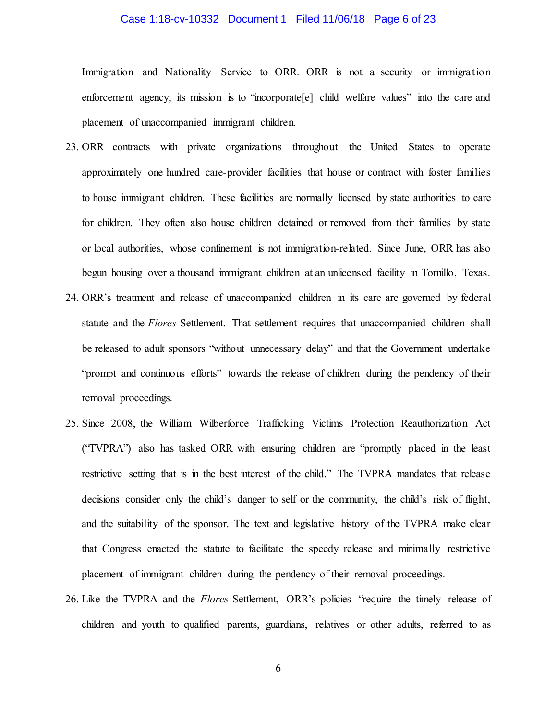### Case 1:18-cv-10332 Document 1 Filed 11/06/18 Page 6 of 23

Immigration and Nationality Service to ORR. ORR is not a security or immigration enforcement agency; its mission is to "incorporate[e] child welfare values" into the care and placement of unaccompanied immigrant children.

- 23. ORR contracts with private organizations throughout the United States to operate approximately one hundred care-provider facilities that house or contract with foster families to house immigrant children. These facilities are normally licensed by state authorities to care for children. They often also house children detained or removed from their families by state or local authorities, whose confinement is not immigration-related. Since June, ORR has also begun housing over a thousand immigrant children at an unlicensed facility in Tornillo, Texas.
- 24. ORR's treatment and release of unaccompanied children in its care are governed by federal statute and the *Flores* Settlement. That settlement requires that unaccompanied children shall be released to adult sponsors "without unnecessary delay" and that the Government undertake "prompt and continuous efforts" towards the release of children during the pendency of their removal proceedings.
- 25. Since 2008, the William Wilberforce Trafficking Victims Protection Reauthorization Act ("TVPRA") also has tasked ORR with ensuring children are "promptly placed in the least restrictive setting that is in the best interest of the child." The TVPRA mandates that release decisions consider only the child's danger to self or the community, the child's risk of flight, and the suitability of the sponsor. The text and legislative history of the TVPRA make clear that Congress enacted the statute to facilitate the speedy release and minimally restrictive placement of immigrant children during the pendency of their removal proceedings.
- 26. Like the TVPRA and the *Flores* Settlement, ORR's policies "require the timely release of children and youth to qualified parents, guardians, relatives or other adults, referred to as

6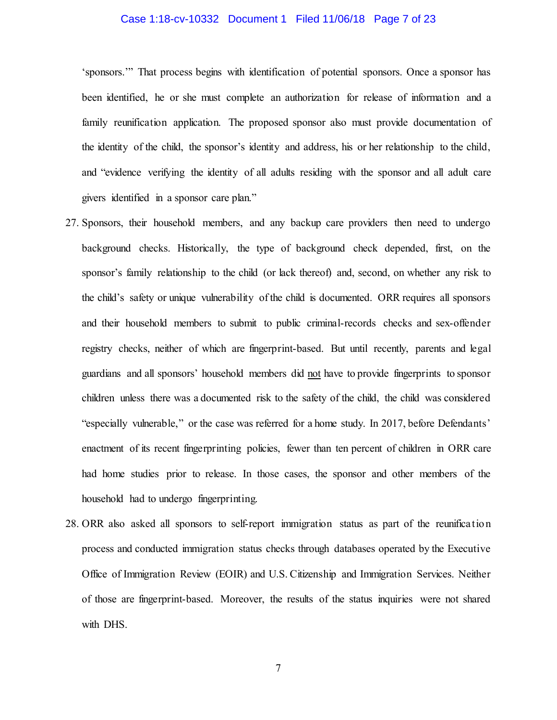### Case 1:18-cv-10332 Document 1 Filed 11/06/18 Page 7 of 23

'sponsors.'" That process begins with identification of potential sponsors. Once a sponsor has been identified, he or she must complete an authorization for release of information and a family reunification application. The proposed sponsor also must provide documentation of the identity of the child, the sponsor's identity and address, his or her relationship to the child, and "evidence verifying the identity of all adults residing with the sponsor and all adult care givers identified in a sponsor care plan."

- 27. Sponsors, their household members, and any backup care providers then need to undergo background checks. Historically, the type of background check depended, first, on the sponsor's family relationship to the child (or lack thereof) and, second, on whether any risk to the child's safety or unique vulnerability of the child is documented. ORR requires all sponsors and their household members to submit to public criminal-records checks and sex-offender registry checks, neither of which are fingerprint-based. But until recently, parents and legal guardians and all sponsors' household members did not have to provide fingerprints to sponsor children unless there was a documented risk to the safety of the child, the child was considered "especially vulnerable," or the case was referred for a home study. In 2017, before Defendants' enactment of its recent fingerprinting policies, fewer than ten percent of children in ORR care had home studies prior to release. In those cases, the sponsor and other members of the household had to undergo fingerprinting.
- 28. ORR also asked all sponsors to self-report immigration status as part of the reunification process and conducted immigration status checks through databases operated by the Executive Office of Immigration Review (EOIR) and U.S. Citizenship and Immigration Services. Neither of those are fingerprint-based. Moreover, the results of the status inquiries were not shared with DHS.

7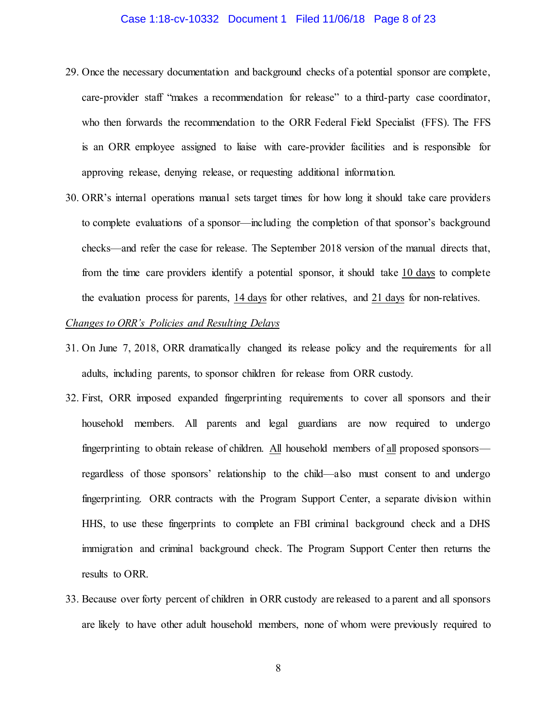### Case 1:18-cv-10332 Document 1 Filed 11/06/18 Page 8 of 23

- 29. Once the necessary documentation and background checks of a potential sponsor are complete, care-provider staff "makes a recommendation for release" to a third-party case coordinator, who then forwards the recommendation to the ORR Federal Field Specialist (FFS). The FFS is an ORR employee assigned to liaise with care-provider facilities and is responsible for approving release, denying release, or requesting additional information.
- 30. ORR's internal operations manual sets target times for how long it should take care providers to complete evaluations of a sponsor—including the completion of that sponsor's background checks—and refer the case for release. The September 2018 version of the manual directs that, from the time care providers identify a potential sponsor, it should take 10 days to complete the evaluation process for parents, 14 days for other relatives, and 21 days for non-relatives.

### *Changes to ORR's Policies and Resulting Delays*

- 31. On June 7, 2018, ORR dramatically changed its release policy and the requirements for all adults, including parents, to sponsor children for release from ORR custody.
- 32. First, ORR imposed expanded fingerprinting requirements to cover all sponsors and their household members. All parents and legal guardians are now required to undergo fingerprinting to obtain release of children. All household members of all proposed sponsors regardless of those sponsors' relationship to the child—also must consent to and undergo fingerprinting. ORR contracts with the Program Support Center, a separate division within HHS, to use these fingerprints to complete an FBI criminal background check and a DHS immigration and criminal background check. The Program Support Center then returns the results to ORR.
- 33. Because over forty percent of children in ORR custody are released to a parent and all sponsors are likely to have other adult household members, none of whom were previously required to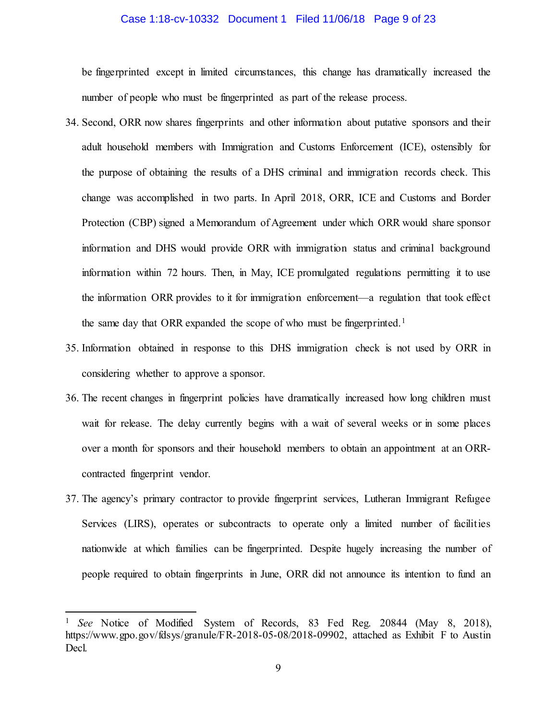### Case 1:18-cv-10332 Document 1 Filed 11/06/18 Page 9 of 23

be fingerprinted except in limited circumstances, this change has dramatically increased the number of people who must be fingerprinted as part of the release process.

- 34. Second, ORR now shares fingerprints and other information about putative sponsors and their adult household members with Immigration and Customs Enforcement (ICE), ostensibly for the purpose of obtaining the results of a DHS criminal and immigration records check. This change was accomplished in two parts. In April 2018, ORR, ICE and Customs and Border Protection (CBP) signed a Memorandum of Agreement under which ORR would share sponsor information and DHS would provide ORR with immigration status and criminal background information within 72 hours. Then, in May, ICE promulgated regulations permitting it to use the information ORR provides to it for immigration enforcement—a regulation that took effect the same day that ORR expanded the scope of who must be fingerprinted.<sup>[1](#page-8-0)</sup>
- 35. Information obtained in response to this DHS immigration check is not used by ORR in considering whether to approve a sponsor.
- 36. The recent changes in fingerprint policies have dramatically increased how long children must wait for release. The delay currently begins with a wait of several weeks or in some places over a month for sponsors and their household members to obtain an appointment at an ORRcontracted fingerprint vendor.
- 37. The agency's primary contractor to provide fingerprint services, Lutheran Immigrant Refugee Services (LIRS), operates or subcontracts to operate only a limited number of facilities nationwide at which families can be fingerprinted. Despite hugely increasing the number of people required to obtain fingerprints in June, ORR did not announce its intention to fund an

 $\overline{a}$ 

<span id="page-8-0"></span><sup>1</sup> *See* Notice of Modified System of Records, 83 Fed Reg. 20844 (May 8, 2018), https://www.gpo.gov/fdsys/granule/FR-2018-05-08/2018-09902, attached as Exhibit F to Austin Decl.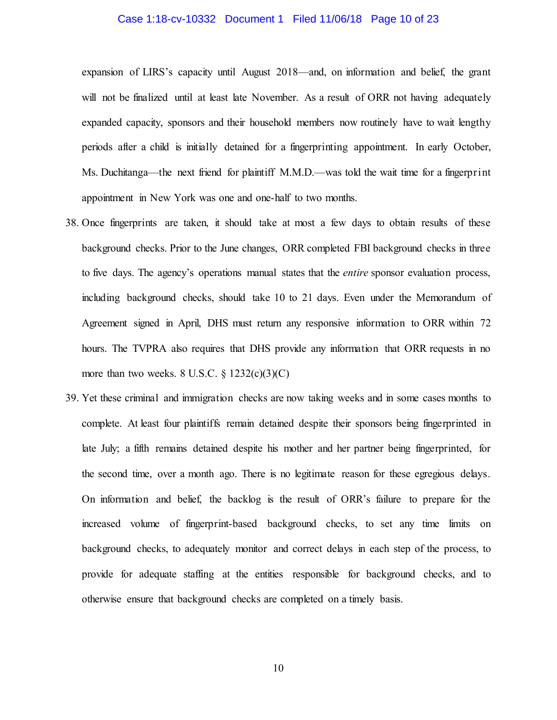#### Case 1:18-cv-10332 Document 1 Filed 11/06/18 Page 10 of 23

expansion of LIRS's capacity until August 2018—and, on information and belief, the grant will not be finalized until at least late November. As a result of ORR not having adequately expanded capacity, sponsors and their household members now routinely have to wait lengthy periods after a child is initially detained for a fingerprinting appointment. In early October, Ms. Duchitanga—the next friend for plaintiff M.M.D.—was told the wait time for a fingerprint appointment in New York was one and one-half to two months.

- 38. Once fingerprints are taken, it should take at most a few days to obtain results of these background checks. Prior to the June changes, ORR completed FBI background checks in three to five days. The agency's operations manual states that the *entire* sponsor evaluation process, including background checks, should take 10 to 21 days. Even under the Memorandum of Agreement signed in April, DHS must return any responsive information to ORR within 72 hours. The TVPRA also requires that DHS provide any information that ORR requests in no more than two weeks.  $8 \text{ U.S.C. } \frac{6}{5} \frac{1232(c)(3)(C)}{C}$
- 39. Yet these criminal and immigration checks are now taking weeks and in some cases months to complete. At least four plaintiffs remain detained despite their sponsors being fingerprinted in late July; a fifth remains detained despite his mother and her partner being fingerprinted, for the second time, over a month ago. There is no legitimate reason for these egregious delays. On information and belief, the backlog is the result of ORR's failure to prepare for the increased volume of fingerprint-based background checks, to set any time limits on background checks, to adequately monitor and correct delays in each step of the process, to provide for adequate staffing at the entities responsible for background checks, and to otherwise ensure that background checks are completed on a timely basis.

10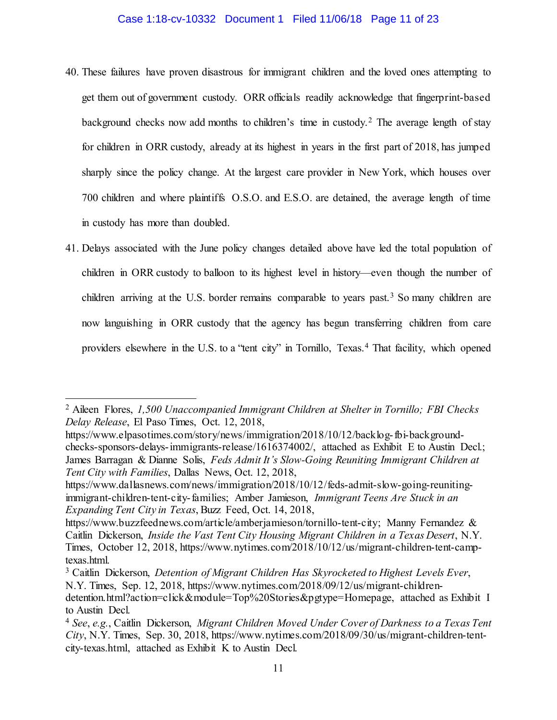### Case 1:18-cv-10332 Document 1 Filed 11/06/18 Page 11 of 23

- 40. These failures have proven disastrous for immigrant children and the loved ones attempting to get them out of government custody. ORR officials readily acknowledge that fingerprint-based background checks now add months to children's time in custody.<sup>[2](#page-10-0)</sup> The average length of stay for children in ORR custody, already at its highest in years in the first part of 2018, has jumped sharply since the policy change. At the largest care provider in New York, which houses over 700 children and where plaintiffs O.S.O. and E.S.O. are detained, the average length of time in custody has more than doubled.
- 41. Delays associated with the June policy changes detailed above have led the total population of children in ORR custody to balloon to its highest level in history—even though the number of children arriving at the U.S. border remains comparable to years past.<sup>[3](#page-10-1)</sup> So many children are now languishing in ORR custody that the agency has begun transferring children from care providers elsewhere in the U.S. to a "tent city" in Tornillo, Texas.<sup>[4](#page-10-2)</sup> That facility, which opened

 $\overline{a}$ 

<span id="page-10-0"></span><sup>2</sup> Aileen Flores, *1,500 Unaccompanied Immigrant Children at Shelter in Tornillo; FBI Checks Delay Release*, El Paso Times, Oct. 12, 2018,

https://www.elpasotimes.com/story/news/immigration/2018/10/12/backlog-fbi-backgroundchecks-sponsors-delays-immigrants-release/1616374002/, attached as Exhibit E to Austin Decl.; James Barragan & Dianne Solis, *Feds Admit It's Slow-Going Reuniting Immigrant Children at Tent City with Families*, Dallas News, Oct. 12, 2018,

[https://www.dallasnews.com/news/immigration/2018/10/12/feds-admit-slow-going-reuniting](https://www.dallasnews.com/news/immigration/2018/10/12/feds-admit-slow-going-reuniting-immigrant-children-tent-city-families)[immigrant-children-tent-city-families;](https://www.dallasnews.com/news/immigration/2018/10/12/feds-admit-slow-going-reuniting-immigrant-children-tent-city-families) Amber Jamieson, *Immigrant Teens Are Stuck in an Expanding Tent City in Texas*, Buzz Feed, Oct. 14, 2018,

[https://www.buzzfeednews.com/article/amberjamieson/tornillo-tent-city;](https://www.buzzfeednews.com/article/amberjamieson/tornillo-tent-city) Manny Fernandez & Caitlin Dickerson, *Inside the Vast Tent City Housing Migrant Children in a Texas Desert*, N.Y. Times, October 12, 2018, https://www.nytimes.com/2018/10/12/us/migrant-children-tent-camptexas.html.<br><sup>3</sup> Caitlin Dickerson, *Detention of Migrant Children Has Skyrocketed to Highest Levels Ever*,

<span id="page-10-1"></span>N.Y. Times, Sep. 12, 2018, [https://www.nytimes.com/2018/09/12/us/migrant-children-](https://www.nytimes.com/2018/09/12/us/migrant-children-detention.html?action=click&module=Top%20Stories&pgtype=Homepage)

[detention.html?action=click&module=Top%20Stories&pgtype=Homepage,](https://www.nytimes.com/2018/09/12/us/migrant-children-detention.html?action=click&module=Top%20Stories&pgtype=Homepage) attached as Exhibit I to Austin Decl.

<span id="page-10-2"></span><sup>4</sup> *See*, *e.g.*, Caitlin Dickerson, *Migrant Children Moved Under Cover of Darkness to a Texas Tent City*, N.Y. Times, Sep. 30, 2018, https://www.nytimes.com/2018/09/30/us/migrant-children-tentcity-texas.html, attached as Exhibit K to Austin Decl.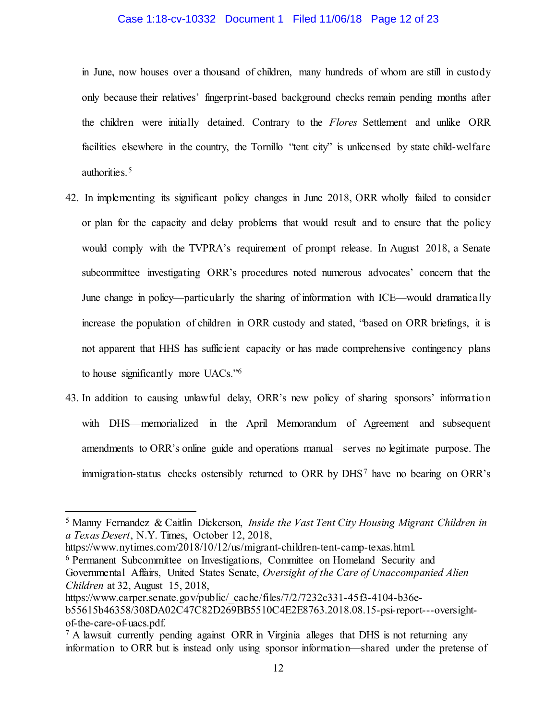### Case 1:18-cv-10332 Document 1 Filed 11/06/18 Page 12 of 23

in June, now houses over a thousand of children, many hundreds of whom are still in custody only because their relatives' fingerprint-based background checks remain pending months after the children were initially detained. Contrary to the *Flores* Settlement and unlike ORR facilities elsewhere in the country, the Tornillo "tent city" is unlicensed by state child-welfare authorities.[5](#page-11-0)

- 42. In implementing its significant policy changes in June 2018, ORR wholly failed to consider or plan for the capacity and delay problems that would result and to ensure that the policy would comply with the TVPRA's requirement of prompt release. In August 2018, a Senate subcommittee investigating ORR's procedures noted numerous advocates' concern that the June change in policy—particularly the sharing of information with ICE—would dramatically increase the population of children in ORR custody and stated, "based on ORR briefings, it is not apparent that HHS has sufficient capacity or has made comprehensive contingency plans to house significantly more UACs."[6](#page-11-1)
- 43. In addition to causing unlawful delay, ORR's new policy of sharing sponsors' informatio n with DHS—memorialized in the April Memorandum of Agreement and subsequent amendments to ORR's online guide and operations manual—serves no legitimate purpose. The immigration-status checks ostensibly returned to ORR by DHS[7](#page-11-2) have no bearing on ORR's

https://www.nytimes.com/2018/10/12/us/migrant-children-tent-camp-texas.html.<br><sup>6</sup> Permanent Subcommittee on Investigations, Committee on Homeland Security and

 $\overline{a}$ 

<span id="page-11-1"></span>Governmental Affairs, United States Senate, *Oversight of the Care of Unaccompanied Alien Children* at 32, August 15, 2018,

<span id="page-11-0"></span><sup>5</sup> Manny Fernandez & Caitlin Dickerson, *Inside the Vast Tent City Housing Migrant Children in a Texas Desert*, N.Y. Times, October 12, 2018,

https://www.carper.senate.gov/public/\_cache/files/7/2/7232c331-45f3-4104-b36eb55615b46358/308DA02C47C82D269BB5510C4E2E8763.2018.08.15-psi-report---oversightof-the-care-of-uacs.pdf.

<span id="page-11-2"></span><sup>7</sup> A lawsuit currently pending against ORR in Virginia alleges that DHS is not returning any information to ORR but is instead only using sponsor information—shared under the pretense of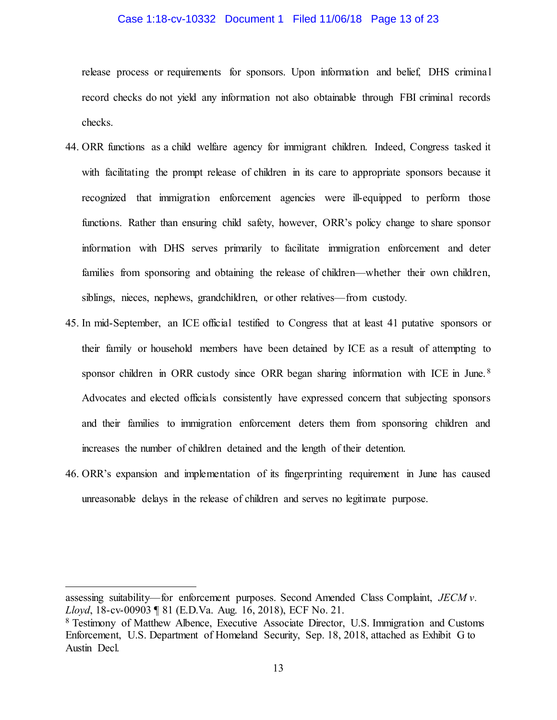#### Case 1:18-cv-10332 Document 1 Filed 11/06/18 Page 13 of 23

release process or requirements for sponsors. Upon information and belief, DHS criminal record checks do not yield any information not also obtainable through FBI criminal records checks.

- 44. ORR functions as a child welfare agency for immigrant children. Indeed, Congress tasked it with facilitating the prompt release of children in its care to appropriate sponsors because it recognized that immigration enforcement agencies were ill-equipped to perform those functions. Rather than ensuring child safety, however, ORR's policy change to share sponsor information with DHS serves primarily to facilitate immigration enforcement and deter families from sponsoring and obtaining the release of children—whether their own children, siblings, nieces, nephews, grandchildren, or other relatives—from custody.
- 45. In mid-September, an ICE official testified to Congress that at least 41 putative sponsors or their family or household members have been detained by ICE as a result of attempting to sponsor children in ORR custody since ORR began sharing information with ICE in June.<sup>[8](#page-12-0)</sup> Advocates and elected officials consistently have expressed concern that subjecting sponsors and their families to immigration enforcement deters them from sponsoring children and increases the number of children detained and the length of their detention.
- 46. ORR's expansion and implementation of its fingerprinting requirement in June has caused unreasonable delays in the release of children and serves no legitimate purpose.

 $\overline{a}$ 

assessing suitability—for enforcement purposes. Second Amended Class Complaint, *JECM v. Lloyd*, 18-cv-00903 ¶ 81 (E.D.Va. Aug. 16, 2018), ECF No. 21.

<span id="page-12-0"></span><sup>8</sup> Testimony of Matthew Albence, Executive Associate Director, U.S. Immigration and Customs Enforcement, U.S. Department of Homeland Security, Sep. 18, 2018, attached as Exhibit G to Austin Decl.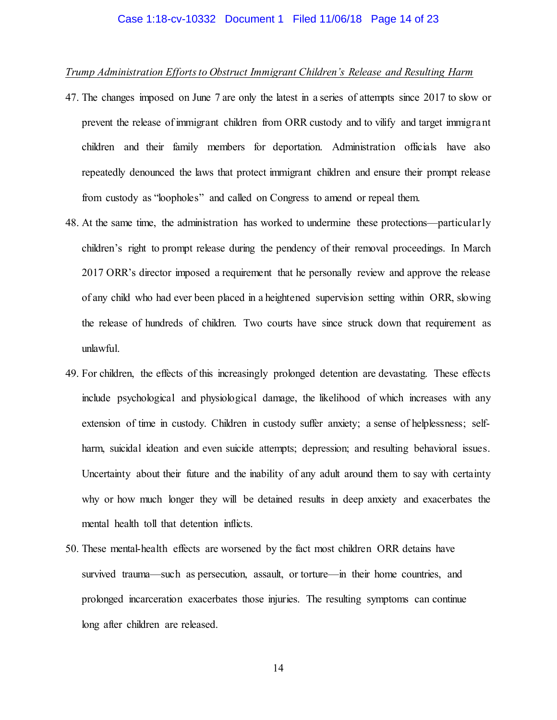### Case 1:18-cv-10332 Document 1 Filed 11/06/18 Page 14 of 23

### *Trump Administration Efforts to Obstruct Immigrant Children's Release and Resulting Harm*

- 47. The changes imposed on June 7 are only the latest in a series of attempts since 2017 to slow or prevent the release of immigrant children from ORR custody and to vilify and target immigrant children and their family members for deportation. Administration officials have also repeatedly denounced the laws that protect immigrant children and ensure their prompt release from custody as "loopholes" and called on Congress to amend or repeal them.
- 48. At the same time, the administration has worked to undermine these protections—particularly children's right to prompt release during the pendency of their removal proceedings. In March 2017 ORR's director imposed a requirement that he personally review and approve the release of any child who had ever been placed in a heightened supervision setting within ORR, slowing the release of hundreds of children. Two courts have since struck down that requirement as unlawful.
- 49. For children, the effects of this increasingly prolonged detention are devastating. These effects include psychological and physiological damage, the likelihood of which increases with any extension of time in custody. Children in custody suffer anxiety; a sense of helplessness; selfharm, suicidal ideation and even suicide attempts; depression; and resulting behavioral issues. Uncertainty about their future and the inability of any adult around them to say with certainty why or how much longer they will be detained results in deep anxiety and exacerbates the mental health toll that detention inflicts.
- 50. These mental-health effects are worsened by the fact most children ORR detains have survived trauma—such as persecution, assault, or torture—in their home countries, and prolonged incarceration exacerbates those injuries. The resulting symptoms can continue long after children are released.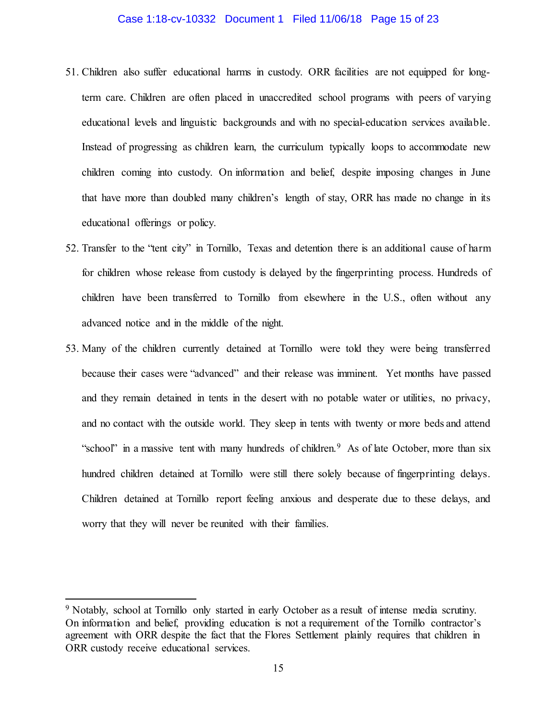#### Case 1:18-cv-10332 Document 1 Filed 11/06/18 Page 15 of 23

- 51. Children also suffer educational harms in custody. ORR facilities are not equipped for longterm care. Children are often placed in unaccredited school programs with peers of varying educational levels and linguistic backgrounds and with no special-education services available. Instead of progressing as children learn, the curriculum typically loops to accommodate new children coming into custody. On information and belief, despite imposing changes in June that have more than doubled many children's length of stay, ORR has made no change in its educational offerings or policy.
- 52. Transfer to the "tent city" in Tornillo, Texas and detention there is an additional cause of harm for children whose release from custody is delayed by the fingerprinting process. Hundreds of children have been transferred to Tornillo from elsewhere in the U.S., often without any advanced notice and in the middle of the night.
- 53. Many of the children currently detained at Tornillo were told they were being transferred because their cases were "advanced" and their release was imminent. Yet months have passed and they remain detained in tents in the desert with no potable water or utilities, no privacy, and no contact with the outside world. They sleep in tents with twenty or more beds and attend "school" in a massive tent with many hundreds of children.<sup>[9](#page-14-0)</sup> As of late October, more than six hundred children detained at Tornillo were still there solely because of fingerprinting delays. Children detained at Tornillo report feeling anxious and desperate due to these delays, and worry that they will never be reunited with their families.

 $\overline{a}$ 

<span id="page-14-0"></span><sup>&</sup>lt;sup>9</sup> Notably, school at Tornillo only started in early October as a result of intense media scrutiny. On information and belief, providing education is not a requirement of the Tornillo contractor's agreement with ORR despite the fact that the Flores Settlement plainly requires that children in ORR custody receive educational services.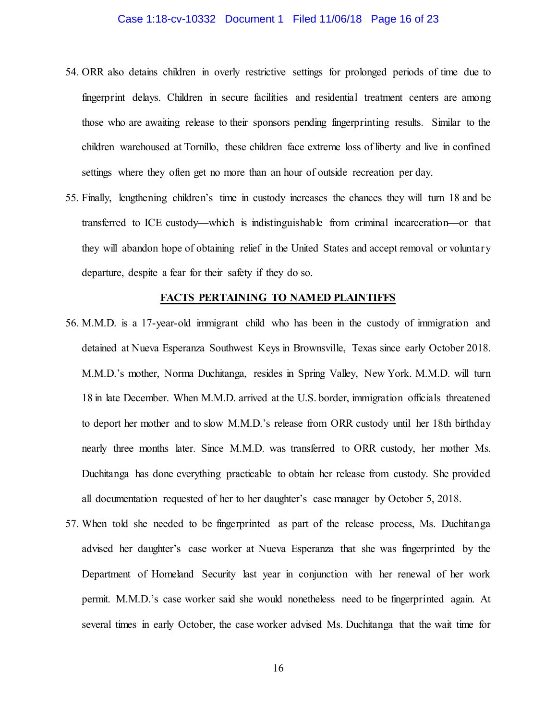### Case 1:18-cv-10332 Document 1 Filed 11/06/18 Page 16 of 23

- 54. ORR also detains children in overly restrictive settings for prolonged periods of time due to fingerprint delays. Children in secure facilities and residential treatment centers are among those who are awaiting release to their sponsors pending fingerprinting results. Similar to the children warehoused at Tornillo, these children face extreme loss of liberty and live in confined settings where they often get no more than an hour of outside recreation per day.
- 55. Finally, lengthening children's time in custody increases the chances they will turn 18 and be transferred to ICE custody—which is indistinguishable from criminal incarceration—or that they will abandon hope of obtaining relief in the United States and accept removal or voluntary departure, despite a fear for their safety if they do so.

#### **FACTS PERTAINING TO NAMED PLAINTIFFS**

- 56. M.M.D. is a 17-year-old immigrant child who has been in the custody of immigration and detained at Nueva Esperanza Southwest Keys in Brownsville, Texas since early October 2018. M.M.D.'s mother, Norma Duchitanga, resides in Spring Valley, New York. M.M.D. will turn 18 in late December. When M.M.D. arrived at the U.S. border, immigration officials threatened to deport her mother and to slow M.M.D.'s release from ORR custody until her 18th birthday nearly three months later. Since M.M.D. was transferred to ORR custody, her mother Ms. Duchitanga has done everything practicable to obtain her release from custody. She provided all documentation requested of her to her daughter's case manager by October 5, 2018.
- 57. When told she needed to be fingerprinted as part of the release process, Ms. Duchitanga advised her daughter's case worker at Nueva Esperanza that she was fingerprinted by the Department of Homeland Security last year in conjunction with her renewal of her work permit. M.M.D.'s case worker said she would nonetheless need to be fingerprinted again. At several times in early October, the case worker advised Ms. Duchitanga that the wait time for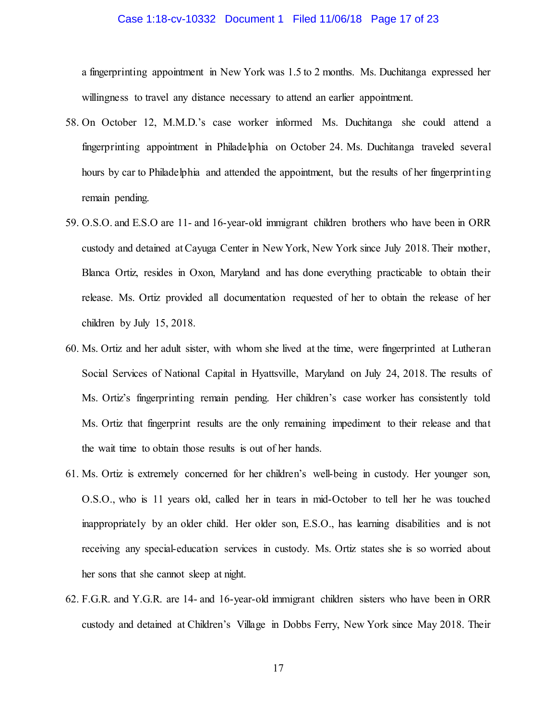#### Case 1:18-cv-10332 Document 1 Filed 11/06/18 Page 17 of 23

a fingerprinting appointment in New York was 1.5 to 2 months. Ms. Duchitanga expressed her willingness to travel any distance necessary to attend an earlier appointment.

- 58. On October 12, M.M.D.'s case worker informed Ms. Duchitanga she could attend a fingerprinting appointment in Philadelphia on October 24. Ms. Duchitanga traveled several hours by car to Philadelphia and attended the appointment, but the results of her fingerprinting remain pending.
- 59. O.S.O. and E.S.O are 11- and 16-year-old immigrant children brothers who have been in ORR custody and detained at Cayuga Center in New York, New York since July 2018. Their mother, Blanca Ortiz, resides in Oxon, Maryland and has done everything practicable to obtain their release. Ms. Ortiz provided all documentation requested of her to obtain the release of her children by July 15, 2018.
- 60. Ms. Ortiz and her adult sister, with whom she lived at the time, were fingerprinted at Lutheran Social Services of National Capital in Hyattsville, Maryland on July 24, 2018. The results of Ms. Ortiz's fingerprinting remain pending. Her children's case worker has consistently told Ms. Ortiz that fingerprint results are the only remaining impediment to their release and that the wait time to obtain those results is out of her hands.
- 61. Ms. Ortiz is extremely concerned for her children's well-being in custody. Her younger son, O.S.O., who is 11 years old, called her in tears in mid-October to tell her he was touched inappropriately by an older child. Her older son, E.S.O., has learning disabilities and is not receiving any special-education services in custody. Ms. Ortiz states she is so worried about her sons that she cannot sleep at night.
- 62. F.G.R. and Y.G.R. are 14- and 16-year-old immigrant children sisters who have been in ORR custody and detained at Children's Village in Dobbs Ferry, New York since May 2018. Their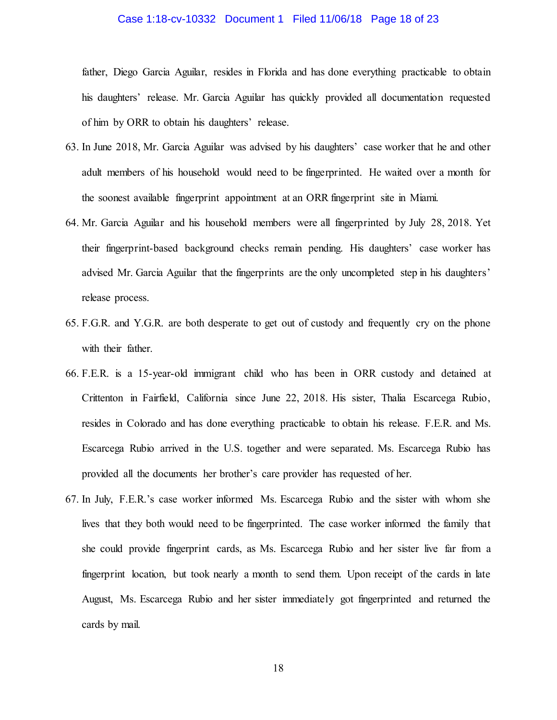#### Case 1:18-cv-10332 Document 1 Filed 11/06/18 Page 18 of 23

father, Diego Garcia Aguilar, resides in Florida and has done everything practicable to obtain his daughters' release. Mr. Garcia Aguilar has quickly provided all documentation requested of him by ORR to obtain his daughters' release.

- 63. In June 2018, Mr. Garcia Aguilar was advised by his daughters' case worker that he and other adult members of his household would need to be fingerprinted. He waited over a month for the soonest available fingerprint appointment at an ORR fingerprint site in Miami.
- 64. Mr. Garcia Aguilar and his household members were all fingerprinted by July 28, 2018. Yet their fingerprint-based background checks remain pending. His daughters' case worker has advised Mr. Garcia Aguilar that the fingerprints are the only uncompleted step in his daughters' release process.
- 65. F.G.R. and Y.G.R. are both desperate to get out of custody and frequently cry on the phone with their father.
- 66. F.E.R. is a 15-year-old immigrant child who has been in ORR custody and detained at Crittenton in Fairfield, California since June 22, 2018. His sister, Thalia Escarcega Rubio, resides in Colorado and has done everything practicable to obtain his release. F.E.R. and Ms. Escarcega Rubio arrived in the U.S. together and were separated. Ms. Escarcega Rubio has provided all the documents her brother's care provider has requested of her.
- 67. In July, F.E.R.'s case worker informed Ms. Escarcega Rubio and the sister with whom she lives that they both would need to be fingerprinted. The case worker informed the family that she could provide fingerprint cards, as Ms. Escarcega Rubio and her sister live far from a fingerprint location, but took nearly a month to send them. Upon receipt of the cards in late August, Ms. Escarcega Rubio and her sister immediately got fingerprinted and returned the cards by mail.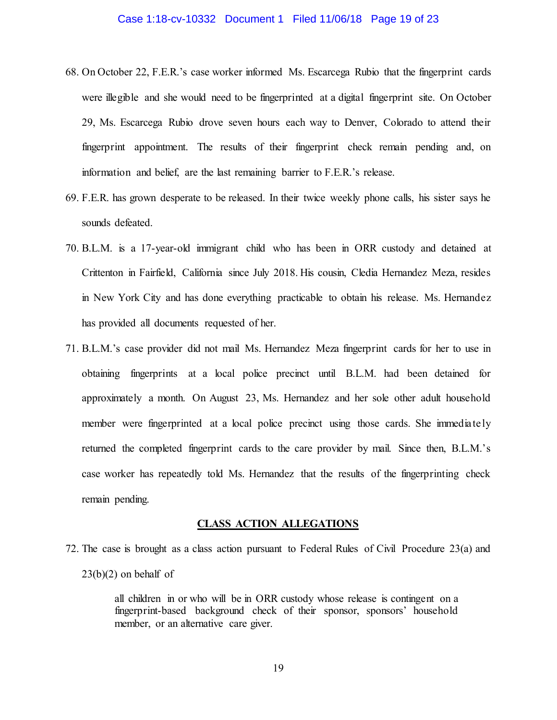#### Case 1:18-cv-10332 Document 1 Filed 11/06/18 Page 19 of 23

- 68. On October 22, F.E.R.'s case worker informed Ms. Escarcega Rubio that the fingerprint cards were illegible and she would need to be fingerprinted at a digital fingerprint site. On October 29, Ms. Escarcega Rubio drove seven hours each way to Denver, Colorado to attend their fingerprint appointment. The results of their fingerprint check remain pending and, on information and belief, are the last remaining barrier to F.E.R.'s release.
- 69. F.E.R. has grown desperate to be released. In their twice weekly phone calls, his sister says he sounds defeated.
- 70. B.L.M. is a 17-year-old immigrant child who has been in ORR custody and detained at Crittenton in Fairfield, California since July 2018. His cousin, Cledia Hernandez Meza, resides in New York City and has done everything practicable to obtain his release. Ms. Hernandez has provided all documents requested of her.
- 71. B.L.M.'s case provider did not mail Ms. Hernandez Meza fingerprint cards for her to use in obtaining fingerprints at a local police precinct until B.L.M. had been detained for approximately a month. On August 23, Ms. Hernandez and her sole other adult household member were fingerprinted at a local police precinct using those cards. She immediately returned the completed fingerprint cards to the care provider by mail. Since then, B.L.M.'s case worker has repeatedly told Ms. Hernandez that the results of the fingerprinting check remain pending.

#### **CLASS ACTION ALLEGATIONS**

72. The case is brought as a class action pursuant to Federal Rules of Civil Procedure 23(a) and  $23(b)(2)$  on behalf of

> all children in or who will be in ORR custody whose release is contingent on a fingerprint-based background check of their sponsor, sponsors' household member, or an alternative care giver.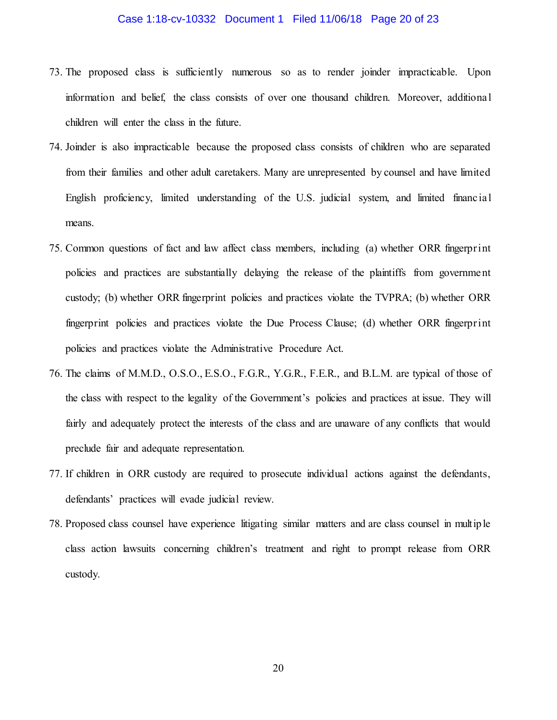#### Case 1:18-cv-10332 Document 1 Filed 11/06/18 Page 20 of 23

- 73. The proposed class is sufficiently numerous so as to render joinder impracticable. Upon information and belief, the class consists of over one thousand children. Moreover, additional children will enter the class in the future.
- 74. Joinder is also impracticable because the proposed class consists of children who are separated from their families and other adult caretakers. Many are unrepresented by counsel and have limited English proficiency, limited understanding of the U.S. judicial system, and limited financial means.
- 75. Common questions of fact and law affect class members, including (a) whether ORR fingerprint policies and practices are substantially delaying the release of the plaintiffs from government custody; (b) whether ORR fingerprint policies and practices violate the TVPRA; (b) whether ORR fingerprint policies and practices violate the Due Process Clause; (d) whether ORR fingerprint policies and practices violate the Administrative Procedure Act.
- 76. The claims of M.M.D., O.S.O., E.S.O., F.G.R., Y.G.R., F.E.R., and B.L.M. are typical of those of the class with respect to the legality of the Government's policies and practices at issue. They will fairly and adequately protect the interests of the class and are unaware of any conflicts that would preclude fair and adequate representation.
- 77. If children in ORR custody are required to prosecute individual actions against the defendants, defendants' practices will evade judicial review.
- 78. Proposed class counsel have experience litigating similar matters and are class counsel in multip le class action lawsuits concerning children's treatment and right to prompt release from ORR custody.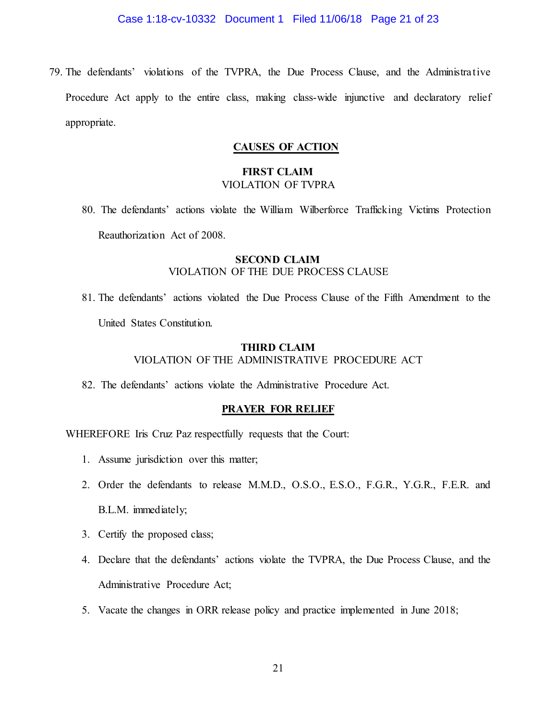#### Case 1:18-cv-10332 Document 1 Filed 11/06/18 Page 21 of 23

79. The defendants' violations of the TVPRA, the Due Process Clause, and the Administrative Procedure Act apply to the entire class, making class-wide injunctive and declaratory relief appropriate.

### **CAUSES OF ACTION**

# **FIRST CLAIM** VIOLATION OF TVPRA

80. The defendants' actions violate the William Wilberforce Trafficking Victims Protection Reauthorization Act of 2008.

## **SECOND CLAIM** VIOLATION OF THE DUE PROCESS CLAUSE

81. The defendants' actions violated the Due Process Clause of the Fifth Amendment to the United States Constitution.

# **THIRD CLAIM** VIOLATION OF THE ADMINISTRATIVE PROCEDURE ACT

82. The defendants' actions violate the Administrative Procedure Act.

### **PRAYER FOR RELIEF**

WHEREFORE Iris Cruz Paz respectfully requests that the Court:

- 1. Assume jurisdiction over this matter;
- 2. Order the defendants to release M.M.D., O.S.O., E.S.O., F.G.R., Y.G.R., F.E.R. and B.L.M. immediately;
- 3. Certify the proposed class;
- 4. Declare that the defendants' actions violate the TVPRA, the Due Process Clause, and the Administrative Procedure Act;
- 5. Vacate the changes in ORR release policy and practice implemented in June 2018;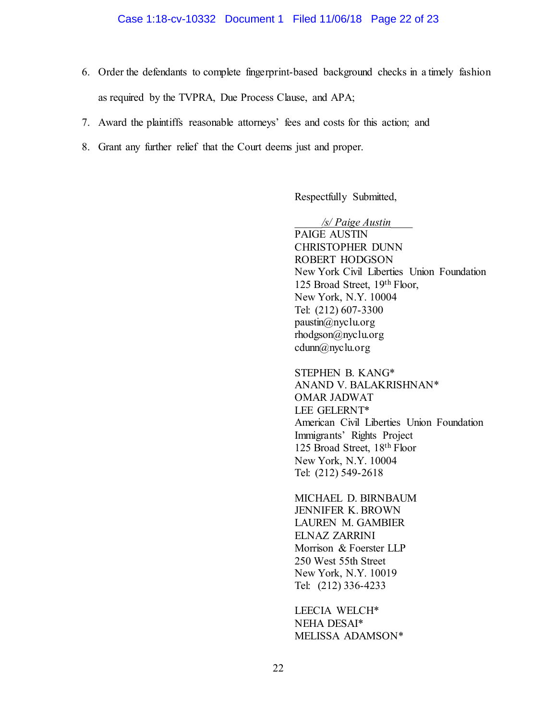#### Case 1:18-cv-10332 Document 1 Filed 11/06/18 Page 22 of 23

- 6. Order the defendants to complete fingerprint-based background checks in a timely fashion as required by the TVPRA, Due Process Clause, and APA;
- 7. Award the plaintiffs reasonable attorneys' fees and costs for this action; and
- 8. Grant any further relief that the Court deems just and proper.

Respectfully Submitted,

*\_\_\_\_\_/s/ Paige Austin\_\_\_\_*  PAIGE AUSTIN CHRISTOPHER DUNN ROBERT HODGSON New York Civil Liberties Union Foundation 125 Broad Street, 19th Floor, New York, N.Y. 10004 Tel: (212) 607-3300 paustin@nyclu.org rhodgson@nyclu.org cdunn@nyclu.org

Tel: (212) 549-2618 STEPHEN B. KANG\* ANAND V. BALAKRISHNAN\* OMAR JADWAT LEE GELERNT\* American Civil Liberties Union Foundation Immigrants' Rights Project 125 Broad Street, 18th Floor New York, N.Y. 10004

MICHAEL D. BIRNBAUM JENNIFER K. BROWN LAUREN M. GAMBIER ELNAZ ZARRINI Morrison & Foerster LLP 250 West 55th Street New York, N.Y. 10019 Tel: (212) 336-4233

LEECIA WELCH\* NEHA DESAI\* MELISSA ADAMSON\*